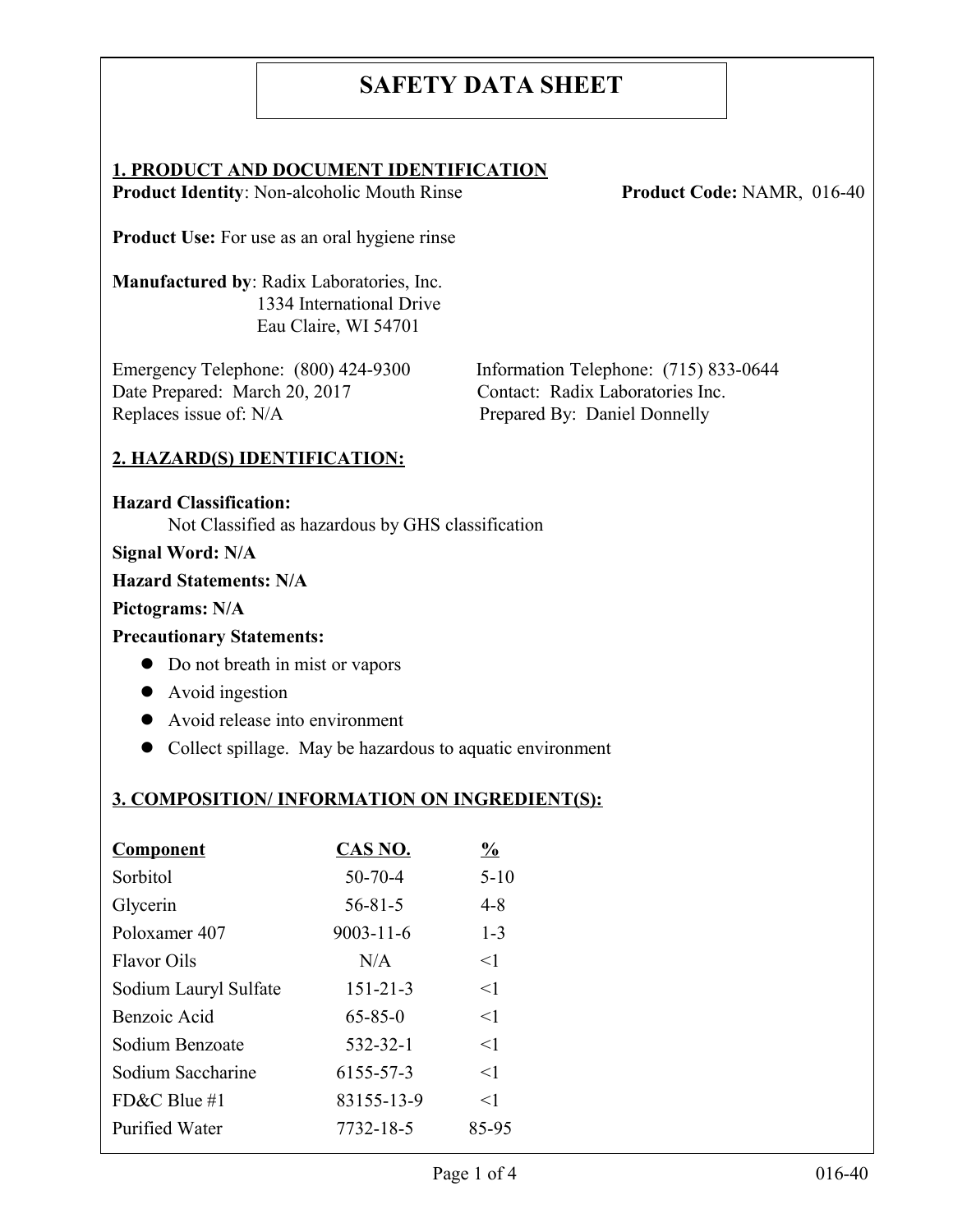# **SAFETY DATA SHEET**

#### **1. PRODUCT AND DOCUMENT IDENTIFICATION**

**Product Identity**: Non-alcoholic Mouth Rinse **Product Code: NAMR, 016-40** 

**Product Use:** For use as an oral hygiene rinse

**Manufactured by**: Radix Laboratories, Inc. 1334 International Drive Eau Claire, WI 54701

Emergency Telephone: (800) 424-9300 Information Telephone: (715) 833-0644 Date Prepared: March 20, 2017 Contact: Radix Laboratories Inc. Replaces issue of: N/A Prepared By: Daniel Donnelly

### **2. HAZARD(S) IDENTIFICATION:**

**Hazard Classification:** Not Classified as hazardous by GHS classification

**Signal Word: N/A**

#### **Hazard Statements: N/A**

#### **Pictograms: N/A**

#### **Precautionary Statements:**

- Do not breath in mist or vapors
- Avoid ingestion
- Avoid release into environment
- Collect spillage. May be hazardous to aquatic environment

# **3. COMPOSITION/ INFORMATION ON INGREDIENT(S):**

| <b>Component</b>      | <b>CAS NO.</b>  | $\frac{6}{9}$ |
|-----------------------|-----------------|---------------|
| Sorbitol              | $50 - 70 - 4$   | $5 - 10$      |
| Glycerin              | $56 - 81 - 5$   | $4 - 8$       |
| Poloxamer 407         | $9003 - 11 - 6$ | $1 - 3$       |
| <b>Flavor Oils</b>    | N/A             | $\leq$ 1      |
| Sodium Lauryl Sulfate | $151 - 21 - 3$  | $<$ 1         |
| Benzoic Acid          | $65 - 85 - 0$   | $<$ 1         |
| Sodium Benzoate       | 532-32-1        | $\leq$ 1      |
| Sodium Saccharine     | 6155-57-3       | $<$ 1         |
| FD&C Blue #1          | 83155-13-9      | $<$ 1         |
| <b>Purified Water</b> | 7732-18-5       | 85-95         |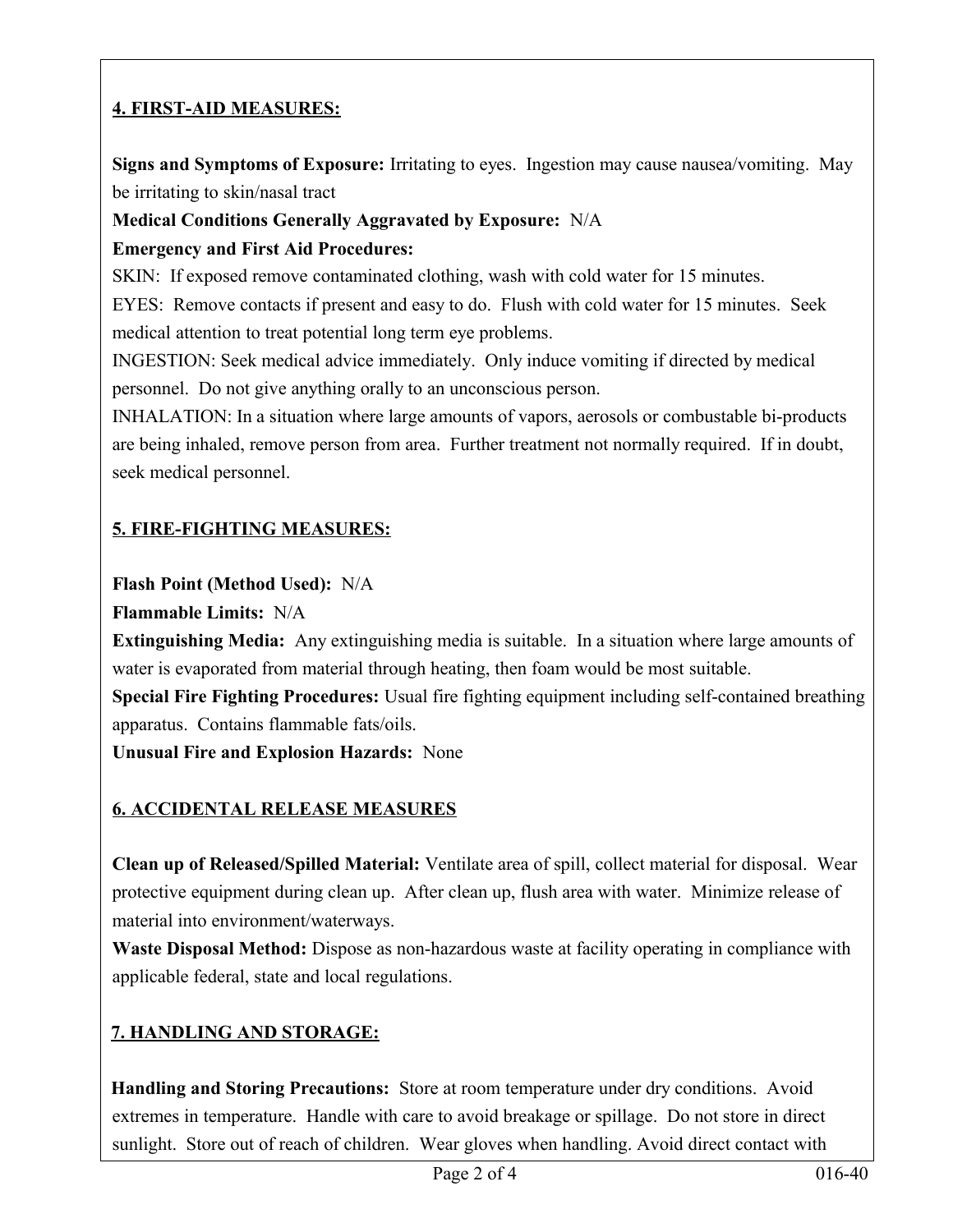# **4. FIRST-AID MEASURES:**

**Signs and Symptoms of Exposure:** Irritating to eyes. Ingestion may cause nausea/vomiting. May be irritating to skin/nasal tract

### **Medical Conditions Generally Aggravated by Exposure:** N/A

### **Emergency and First Aid Procedures:**

SKIN: If exposed remove contaminated clothing, wash with cold water for 15 minutes.

EYES: Remove contacts if present and easy to do. Flush with cold water for 15 minutes. Seek medical attention to treat potential long term eye problems.

INGESTION: Seek medical advice immediately. Only induce vomiting if directed by medical personnel. Do not give anything orally to an unconscious person.

INHALATION: In a situation where large amounts of vapors, aerosols or combustable bi-products are being inhaled, remove person from area. Further treatment not normally required. If in doubt, seek medical personnel.

# **5. FIRE-FIGHTING MEASURES:**

### **Flash Point (Method Used):** N/A

**Flammable Limits:** N/A

**Extinguishing Media:** Any extinguishing media is suitable. In a situation where large amounts of water is evaporated from material through heating, then foam would be most suitable.

**Special Fire Fighting Procedures:** Usual fire fighting equipment including self-contained breathing apparatus. Contains flammable fats/oils.

**Unusual Fire and Explosion Hazards:** None

# **6. ACCIDENTAL RELEASE MEASURES**

**Clean up of Released/Spilled Material:** Ventilate area of spill, collect material for disposal. Wear protective equipment during clean up. After clean up, flush area with water. Minimize release of material into environment/waterways.

**Waste Disposal Method:** Dispose as non-hazardous waste at facility operating in compliance with applicable federal, state and local regulations.

# **7. HANDLING AND STORAGE:**

**Handling and Storing Precautions:** Store at room temperature under dry conditions. Avoid extremes in temperature. Handle with care to avoid breakage or spillage. Do not store in direct sunlight. Store out of reach of children. Wear gloves when handling. Avoid direct contact with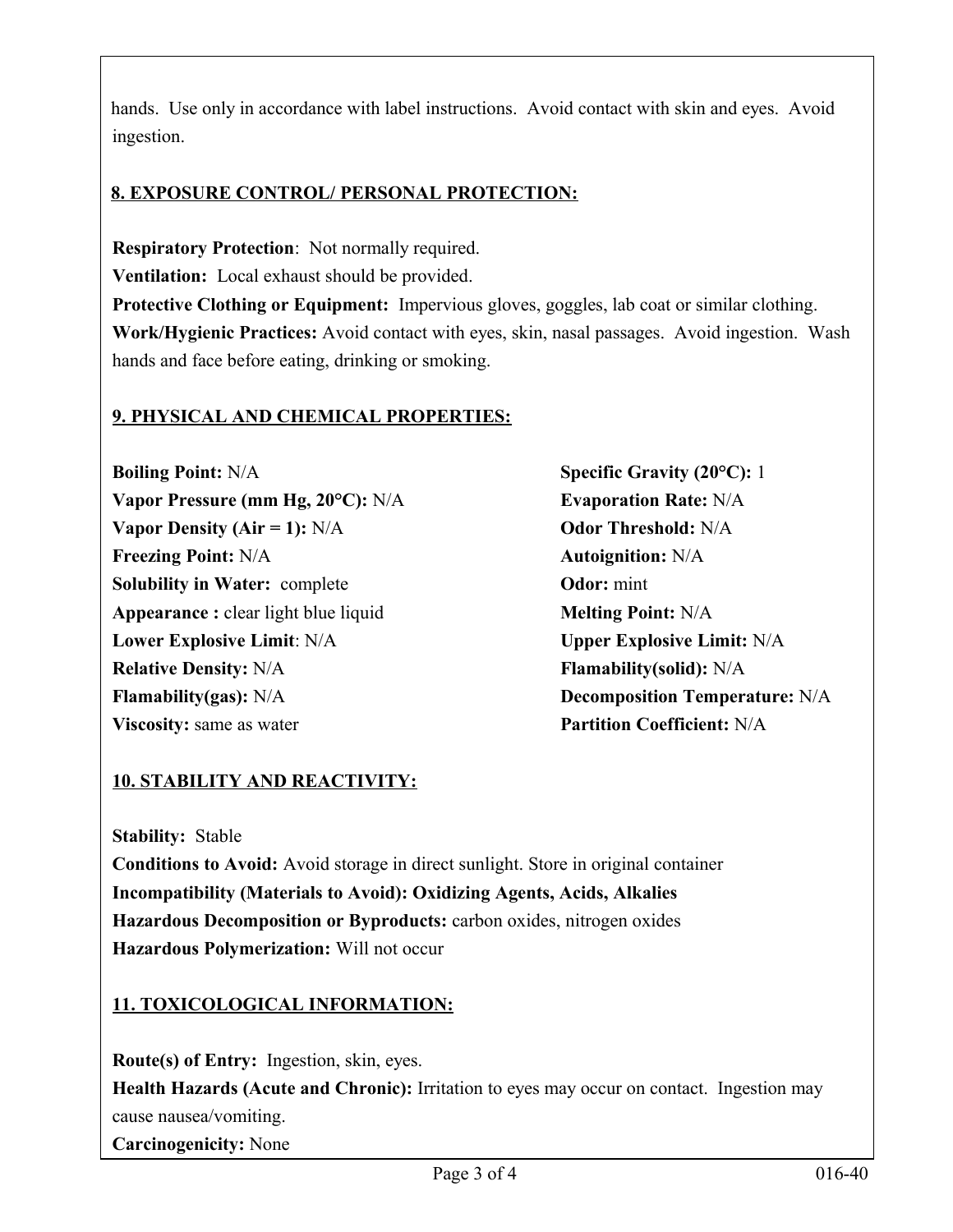hands. Use only in accordance with label instructions. Avoid contact with skin and eyes. Avoid ingestion.

# **8. EXPOSURE CONTROL/ PERSONAL PROTECTION:**

**Respiratory Protection**: Not normally required. **Ventilation:** Local exhaust should be provided. **Protective Clothing or Equipment:** Impervious gloves, goggles, lab coat or similar clothing. **Work/Hygienic Practices:** Avoid contact with eyes, skin, nasal passages. Avoid ingestion. Wash hands and face before eating, drinking or smoking.

### **9. PHYSICAL AND CHEMICAL PROPERTIES:**

**Boiling Point:** N/A **Specific Gravity (20°C):** 1 **Vapor Pressure (mm Hg, 20°C):** N/A **Evaporation Rate:** N/A **Vapor Density (Air = 1):** N/A **Odor Threshold:** N/A **Freezing Point:** N/A **Autoignition:** N/A **Solubility in Water:** complete **Odor:** mint **Appearance :** clear light blue liquid **Melting Point:** N/A **Lower Explosive Limit**: N/A **Upper Explosive Limit:** N/A **Relative Density:** N/A **Flamability(solid):** N/A **Flamability(gas):** N/A **Decomposition Temperature:** N/A **Viscosity:** same as water **Partition Coefficient:** N/A

# **10. STABILITY AND REACTIVITY:**

**Stability:** Stable

**Conditions to Avoid:** Avoid storage in direct sunlight. Store in original container **Incompatibility (Materials to Avoid): Oxidizing Agents, Acids, Alkalies Hazardous Decomposition or Byproducts:** carbon oxides, nitrogen oxides **Hazardous Polymerization:** Will not occur

# **11. TOXICOLOGICAL INFORMATION:**

**Route(s) of Entry:** Ingestion, skin, eyes. **Health Hazards (Acute and Chronic):** Irritation to eyes may occur on contact. Ingestion may cause nausea/vomiting. **Carcinogenicity:** None